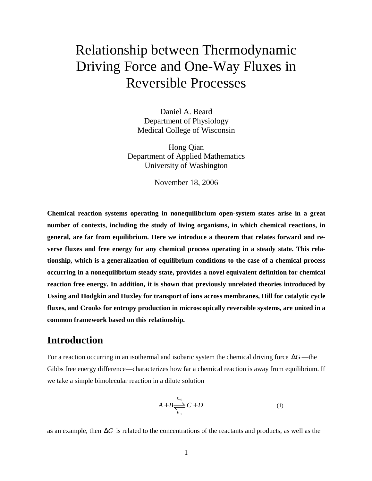# Relationship between Thermodynamic Driving Force and One-Way Fluxes in Reversible Processes

Daniel A. Beard Department of Physiology Medical College of Wisconsin

Hong Qian Department of Applied Mathematics University of Washington

November 18, 2006

**Chemical reaction systems operating in nonequilibrium open-system states arise in a great number of contexts, including the study of living organisms, in which chemical reactions, in general, are far from equilibrium. Here we introduce a theorem that relates forward and reverse fluxes and free energy for any chemical process operating in a steady state. This relationship, which is a generalization of equilibrium conditions to the case of a chemical process occurring in a nonequilibrium steady state, provides a novel equivalent definition for chemical reaction free energy. In addition, it is shown that previously unrelated theories introduced by Ussing and Hodgkin and Huxley for transport of ions across membranes, Hill for catalytic cycle fluxes, and Crooks for entropy production in microscopically reversible systems, are united in a common framework based on this relationship.**

# **Introduction**

For a reaction occurring in an isothermal and isobaric system the chemical driving force ∆*G* —the Gibbs free energy difference—characterizes how far a chemical reaction is away from equilibrium. If we take a simple bimolecular reaction in a dilute solution

$$
A + B \frac{\sum_{k=1}^{k+1} C + D}{\sum_{k=1}^{k+1} C + D}
$$
 (1)

as an example, then ∆*G* is related to the concentrations of the reactants and products, as well as the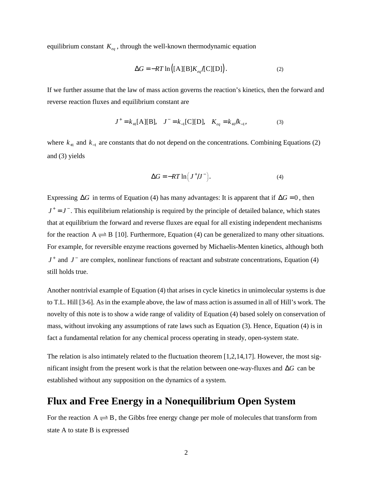equilibrium constant *Keq* , through the well-known thermodynamic equation

$$
\Delta G = -RT \ln \left( [\text{A}][\text{B}] K_{\text{eq}} / [\text{C}][\text{D}] \right). \tag{2}
$$

If we further assume that the law of mass action governs the reaction's kinetics, then the forward and reverse reaction fluxes and equilibrium constant are

$$
J^+ = k_{+1}[A][B], \quad J^- = k_{-1}[C][D], \quad K_{eq} = k_{+1}/k_{-1}, \tag{3}
$$

where  $k_{+1}$  and  $k_{-1}$  are constants that do not depend on the concentrations. Combining Equations (2) and (3) yields

$$
\Delta G = -RT \ln \left( J^+ / J^- \right). \tag{4}
$$

Expressing  $\Delta G$  in terms of Equation (4) has many advantages: It is apparent that if  $\Delta G = 0$ , then  $J^+ = J^-$ . This equilibrium relationship is required by the principle of detailed balance, which states that at equilibrium the forward and reverse fluxes are equal for all existing independent mechanisms for the reaction  $A \rightleftharpoons B$  [10]. Furthermore, Equation (4) can be generalized to many other situations. For example, for reversible enzyme reactions governed by Michaelis-Menten kinetics, although both *J*<sup>+</sup> and *J*<sup>−</sup> are complex, nonlinear functions of reactant and substrate concentrations, Equation (4) still holds true.

Another nontrivial example of Equation (4) that arises in cycle kinetics in unimolecular systems is due to T.L. Hill [3-6]. As in the example above, the law of mass action is assumed in all of Hill's work. The novelty of this note is to show a wide range of validity of Equation (4) based solely on conservation of mass, without invoking any assumptions of rate laws such as Equation (3). Hence, Equation (4) is in fact a fundamental relation for any chemical process operating in steady, open-system state.

The relation is also intimately related to the fluctuation theorem [1,2,14,17]. However, the most significant insight from the present work is that the relation between one-way-fluxes and ∆*G* can be established without any supposition on the dynamics of a system.

## **Flux and Free Energy in a Nonequilibrium Open System**

For the reaction  $A \rightleftharpoons B$ , the Gibbs free energy change per mole of molecules that transform from state A to state B is expressed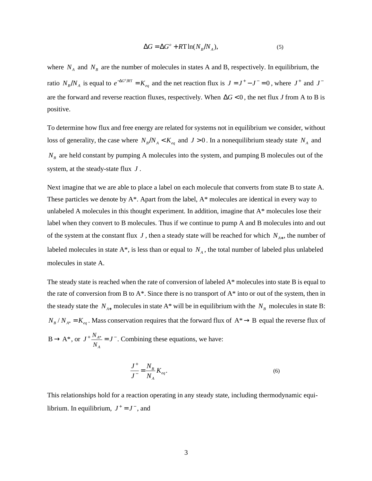$$
\Delta G = \Delta G^{\circ} + R \Gamma \ln(N_B/N_A), \tag{5}
$$

where  $N_A$  and  $N_B$  are the number of molecules in states A and B, respectively. In equilibrium, the ratio  $N_B/N_A$  is equal to  $e^{-\Delta G^o/RT} = K_{eq}$  and the net reaction flux is  $J = J^+ - J^- = 0$ , where  $J^+$  and  $J^$ are the forward and reverse reaction fluxes, respectively. When ∆*G* < 0 , the net flux *J* from A to B is positive.

To determine how flux and free energy are related for systems not in equilibrium we consider, without loss of generality, the case where  $N_B/N_A < K_{eq}$  and  $J > 0$ . In a nonequilibrium steady state  $N_A$  and  $N_B$  are held constant by pumping A molecules into the system, and pumping B molecules out of the system, at the steady-state flux *J* .

Next imagine that we are able to place a label on each molecule that converts from state B to state A. These particles we denote by A\*. Apart from the label, A\* molecules are identical in every way to unlabeled A molecules in this thought experiment. In addition, imagine that A\* molecules lose their label when they convert to B molecules. Thus if we continue to pump A and B molecules into and out of the system at the constant flux *J* , then a steady state will be reached for which *NA*<sup>∗</sup> , the number of labeled molecules in state  $A^*$ , is less than or equal to  $N_A$ , the total number of labeled plus unlabeled molecules in state A.

The steady state is reached when the rate of conversion of labeled A\* molecules into state B is equal to the rate of conversion from B to  $A^*$ . Since there is no transport of  $A^*$  into or out of the system, then in the steady state the  $N_{A*}$  molecules in state A\* will be in equilibrium with the  $N_B$  molecules in state B:  $N_B/N_{A^*} = K_{eq}$ . Mass conservation requires that the forward flux of A<sup>\*</sup> → B equal the reverse flux of  $B \rightarrow A^*$ , or  $J^+ \frac{I' A^*}{I}$ *A N N*  $J^+ \frac{N_{A^*}}{N} = J^-$ . Combining these equations, we have:

$$
\frac{J^{+}}{J^{-}} = \frac{N_B}{N_A} K_{eq}.
$$
\n(6)

This relationships hold for a reaction operating in any steady state, including thermodynamic equilibrium. In equilibrium,  $J^+ = J^-$ , and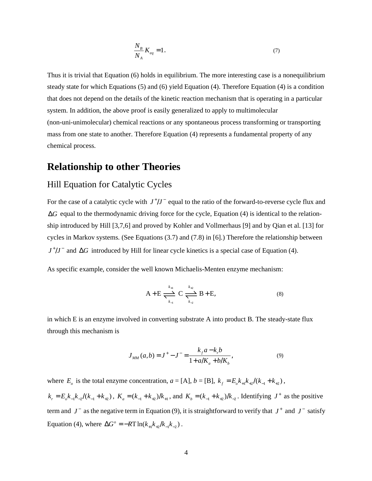$$
\frac{N_B}{N_A} K_{eq} = 1. \tag{7}
$$

Thus it is trivial that Equation (6) holds in equilibrium. The more interesting case is a nonequilibrium steady state for which Equations (5) and (6) yield Equation (4). Therefore Equation (4) is a condition that does not depend on the details of the kinetic reaction mechanism that is operating in a particular system. In addition, the above proof is easily generalized to apply to multimolecular (non-uni-unimolecular) chemical reactions or any spontaneous process transforming or transporting mass from one state to another. Therefore Equation (4) represents a fundamental property of any chemical process.

## **Relationship to other Theories**

## Hill Equation for Catalytic Cycles

For the case of a catalytic cycle with  $J^{\dagger}/J^{-}$  equal to the ratio of the forward-to-reverse cycle flux and ∆*G* equal to the thermodynamic driving force for the cycle, Equation (4) is identical to the relationship introduced by Hill [3,7,6] and proved by Kohler and Vollmerhaus [9] and by Qian et al. [13] for cycles in Markov systems. (See Equations (3.7) and (7.8) in [6].) Therefore the relationship between *J*<sup>+</sup>/*J*<sup>−</sup> and ∆*G* introduced by Hill for linear cycle kinetics is a special case of Equation (4).

As specific example, consider the well known Michaelis-Menten enzyme mechanism:

$$
A + E \xrightarrow[k_{\perp}]{k_{\perp 1}} C \xrightarrow[k_{\perp 2}]{k_{\perp 2}} B + E,
$$
 (8)

in which E is an enzyme involved in converting substrate A into product B. The steady-state flux through this mechanism is

$$
J_{MM}(a,b) = J^{+} - J^{-} = \frac{k_f a - k_r b}{1 + a/K_a + b/K_b},
$$
\n(9)

where  $E_o$  is the total enzyme concentration,  $a = [A]$ ,  $b = [B]$ ,  $k_f = E_o k_{+1} k_{+2} / (k_{-1} + k_{+2})$ ,  $k_r = E_b k_{-1} k_{-2} / (k_{-1} + k_{+2})$ ,  $K_a = (k_{-1} + k_{+2}) / k_{+1}$ , and  $K_b = (k_{-1} + k_{+2}) / k_{-2}$ . Identifying  $J^+$  as the positive term and  $J^-$  as the negative term in Equation (9), it is straightforward to verify that  $J^+$  and  $J^-$  satisfy Equation (4), where  $\Delta G^{\circ} = -RT \ln(k_{+1}k_{+2}/k_{-1}k_{-2})$ .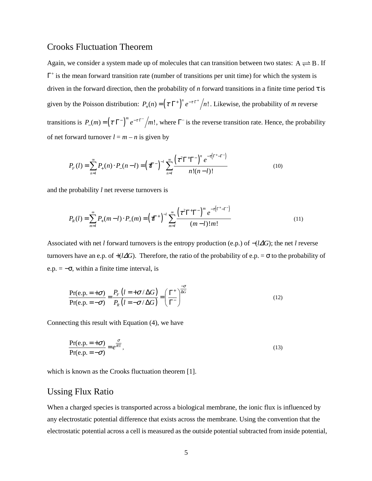#### Crooks Fluctuation Theorem

Again, we consider a system made up of molecules that can transition between two states:  $A \rightleftharpoons B$ . If  $\Gamma^+$  is the mean forward transition rate (number of transitions per unit time) for which the system is driven in the forward direction, then the probability of *n* forward transitions in a finite time period τ is given by the Poisson distribution:  $P_+(n) = (\tau \Gamma^+)^n e^{-\tau \Gamma^+}/n!$ . Likewise, the probability of *m* reverse transitions is  $P_-(m) = (\tau \Gamma^{-})^m e^{-\tau \Gamma^{-}}/m!$ , where  $\Gamma^{-}$  is the reverse transition rate. Hence, the probability of net forward turnover  $l = m - n$  is given by

$$
P_F(l) = \sum_{n=l}^{\infty} P_+(n) \cdot P_-(n-l) = \left(\pi^{-}\right)^{-l} \sum_{n=l}^{\infty} \frac{\left(\tau^2 \Gamma^+ \Gamma^-\right)^n e^{-\tau\left(\Gamma^+ - \Gamma^-\right)}}{n!(n-l)!}
$$
(10)

and the probability *l* net reverse turnovers is

$$
P_R(l) = \sum_{m=l}^{\infty} P_+(m-l) \cdot P_-(m) = \left(\tau \right)^{-l} \sum_{m=l}^{\infty} \frac{\left(\tau^2 \Gamma^+ \Gamma^- \right)^m e^{-\tau \left(\Gamma^+ - \Gamma^- \right)}}{(m-l)! m!}
$$
(11)

Associated with net *l* forward turnovers is the entropy production (e.p.) of −(*l*∆*G*); the net *l* reverse turnovers have an e.p. of  $+(l\Delta G)$ . Therefore, the ratio of the probability of e.p. =  $\sigma$  to the probability of e.p. =  $-\sigma$ , within a finite time interval, is

$$
\frac{\Pr(\mathbf{e}, \mathbf{p}, = +\sigma)}{\Pr(\mathbf{e}, \mathbf{p}, = -\sigma)} = \frac{P_F(l = +\sigma/\Delta G)}{P_R(l = -\sigma/\Delta G)} = \left(\frac{\Gamma^+}{\Gamma^-}\right)^{\frac{\sigma}{\Delta G}}
$$
(12)

Connecting this result with Equation (4), we have

$$
\frac{\Pr(e.p. = +\sigma)}{\Pr(e.p. = -\sigma)} = e^{\frac{\sigma}{RT}},
$$
\n(13)

which is known as the Crooks fluctuation theorem [1].

## Ussing Flux Ratio

When a charged species is transported across a biological membrane, the ionic flux is influenced by any electrostatic potential difference that exists across the membrane. Using the convention that the electrostatic potential across a cell is measured as the outside potential subtracted from inside potential,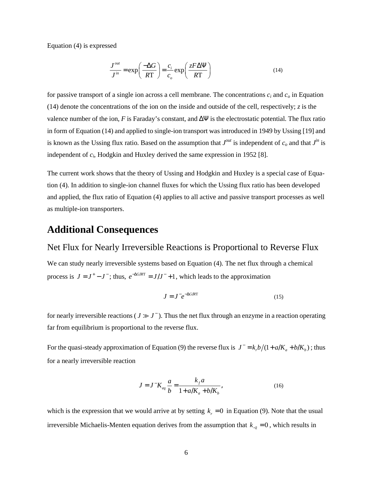Equation (4) is expressed

$$
\frac{J^{out}}{J^{in}} = \exp\left(\frac{-\Delta G}{RT}\right) = \frac{c_i}{c_o} \exp\left(\frac{zF\Delta\Psi}{RT}\right)
$$
(14)

for passive transport of a single ion across a cell membrane. The concentrations *c<sup>i</sup>* and *c<sup>o</sup>* in Equation (14) denote the concentrations of the ion on the inside and outside of the cell, respectively;  $z$  is the valence number of the ion, *F* is Faraday's constant, and  $\Delta \Psi$  is the electrostatic potential. The flux ratio in form of Equation (14) and applied to single-ion transport was introduced in 1949 by Ussing [19] and is known as the Ussing flux ratio. Based on the assumption that  $J^{out}$  is independent of  $c_o$  and that  $J^{in}$  is independent of *c<sup>i</sup>* , Hodgkin and Huxley derived the same expression in 1952 [8].

The current work shows that the theory of Ussing and Hodgkin and Huxley is a special case of Equation (4). In addition to single-ion channel fluxes for which the Ussing flux ratio has been developed and applied, the flux ratio of Equation (4) applies to all active and passive transport processes as well as multiple-ion transporters.

## **Additional Consequences**

#### Net Flux for Nearly Irreversible Reactions is Proportional to Reverse Flux

We can study nearly irreversible systems based on Equation (4). The net flux through a chemical process is  $J = J^+ - J^-$ ; thus,  $e^{-\Delta G/RT} = J/J^- + 1$ , which leads to the approximation

$$
J = J^- e^{-\Delta G/RT} \tag{15}
$$

for nearly irreversible reactions ( $J \gg J^-$ ). Thus the net flux through an enzyme in a reaction operating far from equilibrium is proportional to the reverse flux.

For the quasi-steady approximation of Equation (9) the reverse flux is  $J^- = k_p b/(1 + a/K_a + b/K_b)$ ; thus for a nearly irreversible reaction

$$
J = J^{-}K_{eq} \frac{a}{b} = \frac{k_f a}{1 + a/K_a + b/K_b},
$$
\n(16)

which is the expression that we would arrive at by setting  $k_r = 0$  in Equation (9). Note that the usual irreversible Michaelis-Menten equation derives from the assumption that  $k_{-2} = 0$ , which results in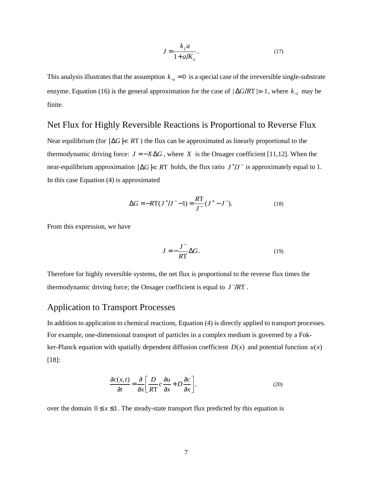$$
J = \frac{k_f a}{1 + a/K_a}.\tag{17}
$$

This analysis illustrates that the assumption  $k_{-2} = 0$  is a special case of the irreversible single-substrate enzyme. Equation (16) is the general approximation for the case of  $|\Delta G/RT| \gg 1$ , where  $k_{-2}$  may be finite.

## Net Flux for Highly Reversible Reactions is Proportional to Reverse Flux

Near equilibrium (for  $\vert \Delta G \vert \ll RT$ ) the flux can be approximated as linearly proportional to the thermodynamic driving force:  $J = -X\Delta G$ , where *X* is the Onsager coefficient [11,12]. When the near-equilibrium approximation  $|\Delta G| \ll RT$  holds, the flux ratio  $J^{\dagger}/J^{-}$  is approximately equal to 1. In this case Equation (4) is approximated

$$
\Delta G = -RT(J^+/J^- - 1) = \frac{RT}{J^-}(J^+ - J^-). \tag{18}
$$

From this expression, we have

$$
J = -\frac{J^-}{RT} \Delta G.
$$
 (19)

Therefore for highly reversible systems, the net flux is proportional to the reverse flux times the thermodynamic driving force; the Onsager coefficient is equal to  $J^-/RT$ .

#### Application to Transport Processes

In addition to application to chemical reactions, Equation (4) is directly applied to transport processes. For example, one-dimensional transport of particles in a complex medium is governed by a Fokker-Planck equation with spatially dependent diffusion coefficient  $D(x)$  and potential function  $u(x)$ [18]:

$$
\frac{\partial c(x,t)}{\partial t} = \frac{\partial}{\partial x} \left[ \frac{D}{RT} c \frac{\partial u}{\partial x} + D \frac{\partial c}{\partial x} \right],\tag{20}
$$

over the domain  $0 \le x \le 1$ . The steady-state transport flux predicted by this equation is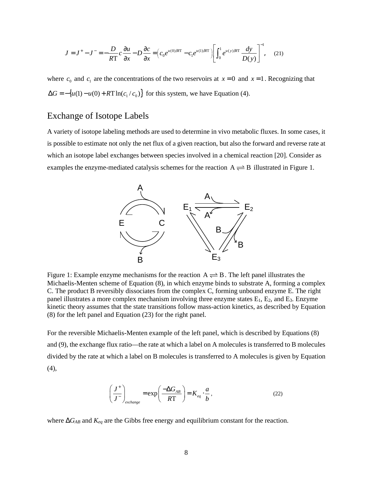$$
J = J^{+} - J^{-} = -\frac{D}{RT}c\frac{\partial u}{\partial x} - D\frac{\partial c}{\partial x} = \left(c_0 e^{u(0)/RT} - c_1 e^{u(1)/RT}\right)\left[\int_0^1 e^{u(y)/RT} \frac{dy}{D(y)}\right]^{-1},\tag{21}
$$

where  $c_0$  and  $c_1$  are the concentrations of the two reservoirs at  $x = 0$  and  $x = 1$ . Recognizing that  $\Delta G = -\{u(1) - u(0) + RT \ln(c_1/c_0)\}\$  for this system, we have Equation (4).

#### Exchange of Isotope Labels

A variety of isotope labeling methods are used to determine in vivo metabolic fluxes. In some cases, it is possible to estimate not only the net flux of a given reaction, but also the forward and reverse rate at which an isotope label exchanges between species involved in a chemical reaction [20]. Consider as examples the enzyme-mediated catalysis schemes for the reaction  $A \rightleftharpoons B$  illustrated in Figure 1.



Figure 1: Example enzyme mechanisms for the reaction  $A \rightleftharpoons B$ . The left panel illustrates the Michaelis-Menten scheme of Equation (8), in which enzyme binds to substrate A, forming a complex C. The product B reversibly dissociates from the complex C, forming unbound enzyme E. The right panel illustrates a more complex mechanism involving three enzyme states  $E_1$ ,  $E_2$ , and  $E_3$ . Enzyme kinetic theory assumes that the state transitions follow mass-action kinetics, as described by Equation (8) for the left panel and Equation (23) for the right panel.

For the reversible Michaelis-Menten example of the left panel, which is described by Equations (8) and (9), the exchange flux ratio—the rate at which a label on A molecules is transferred to B molecules divided by the rate at which a label on B molecules is transferred to A molecules is given by Equation (4),

$$
\left(\frac{J^+}{J^-}\right)_{exchange} = \exp\left(\frac{-\Delta G_{AB}}{RT}\right) = K_{eq} \cdot \frac{a}{b},\tag{22}
$$

where ∆*GAB* and *Keq* are the Gibbs free energy and equilibrium constant for the reaction.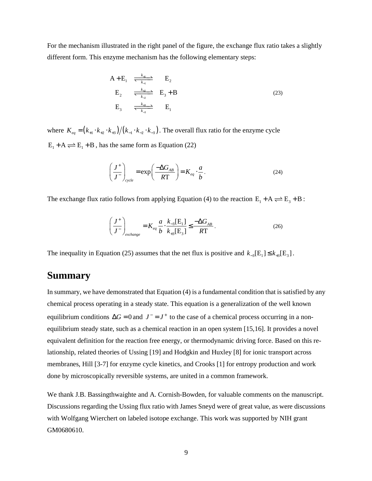For the mechanism illustrated in the right panel of the figure, the exchange flux ratio takes a slightly different form. This enzyme mechanism has the following elementary steps:

$$
A + E_1 \xrightarrow[k_{4}]{} E_2
$$
  
\n
$$
E_2 \xrightarrow[k_{42}]{} E_3 + B
$$
  
\n
$$
E_3 \xrightarrow[k_{43}]{} E_1
$$
  
\n
$$
E_1
$$
  
\n(23)

where  $K_{eq} = (k_{+1} \cdot k_{+2} \cdot k_{+3})/(k_{-1} \cdot k_{-2} \cdot k_{-3})$ . The overall flux ratio for the enzyme cycle  $E_1 + A \rightleftharpoons E_1 + B$ , has the same form as Equation (22)

$$
\left(\frac{J^+}{J^-}\right)_{cycle} = \exp\left(\frac{-\Delta G_{AB}}{RT}\right) = K_{eq} \cdot \frac{a}{b}.
$$
\n(24)

The exchange flux ratio follows from applying Equation (4) to the reaction  $E_1 + A \rightleftharpoons E_3 + B$ :

$$
\left(\frac{J^+}{J^-}\right)_{exchange} = K_{eq} \frac{a}{b} \cdot \frac{k_{-3}[E_1]}{k_{+3}[E_3]} \le \frac{-\Delta G_{AB}}{RT}.
$$
\n(26)

The inequality in Equation (25) assumes that the net flux is positive and  $k_{-3} [E_1] \leq k_{+3} [E_3]$ .

# **Summary**

In summary, we have demonstrated that Equation (4) is a fundamental condition that is satisfied by any chemical process operating in a steady state. This equation is a generalization of the well known equilibrium conditions  $\Delta G = 0$  and  $J^- = J^+$  to the case of a chemical process occurring in a nonequilibrium steady state, such as a chemical reaction in an open system [15,16]. It provides a novel equivalent definition for the reaction free energy, or thermodynamic driving force. Based on this relationship, related theories of Ussing [19] and Hodgkin and Huxley [8] for ionic transport across membranes, Hill [3-7] for enzyme cycle kinetics, and Crooks [1] for entropy production and work done by microscopically reversible systems, are united in a common framework.

We thank J.B. Bassingthwaighte and A. Cornish-Bowden, for valuable comments on the manuscript. Discussions regarding the Ussing flux ratio with James Sneyd were of great value, as were discussions with Wolfgang Wierchert on labeled isotope exchange. This work was supported by NIH grant GM0680610.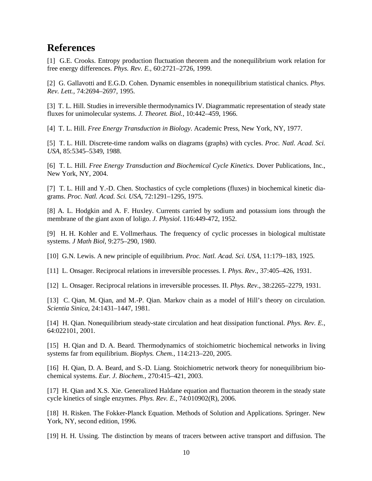# **References**

[1] G.E. Crooks. Entropy production fluctuation theorem and the nonequilibrium work relation for free energy differences. *Phys. Rev. E.*, 60:2721–2726, 1999.

[2] G. Gallavotti and E.G.D. Cohen. Dynamic ensembles in nonequilibrium statistical chanics. *Phys. Rev. Lett.*, 74:2694–2697, 1995.

[3] T. L. Hill. Studies in irreversible thermodynamics IV. Diagrammatic representation of steady state fluxes for unimolecular systems. *J. Theoret. Biol.*, 10:442–459, 1966.

[4] T. L. Hill. *Free Energy Transduction in Biology*. Academic Press, New York, NY, 1977.

[5] T. L. Hill. Discrete-time random walks on diagrams (graphs) with cycles. *Proc. Natl. Acad. Sci. USA*, 85:5345–5349, 1988.

[6] T. L. Hill. *Free Energy Transduction and Biochemical Cycle Kinetics*. Dover Publications, Inc., New York, NY, 2004.

[7] T. L. Hill and Y.-D. Chen. Stochastics of cycle completions (fluxes) in biochemical kinetic diagrams. *Proc. Natl. Acad. Sci. USA*, 72:1291–1295, 1975.

[8] A. L. Hodgkin and A. F. Huxley. Currents carried by sodium and potassium ions through the membrane of the giant axon of loligo. *J. Physiol*. 116:449-472, 1952.

[9] H. H. Kohler and E. Vollmerhaus. The frequency of cyclic processes in biological multistate systems. *J Math Biol*, 9:275–290, 1980.

[10] G.N. Lewis. A new principle of equilibrium. *Proc. Natl. Acad. Sci. USA*, 11:179–183, 1925.

[11] L. Onsager. Reciprocal relations in irreversible processes. I. *Phys. Rev.*, 37:405–426, 1931.

[12] L. Onsager. Reciprocal relations in irreversible processes. II. *Phys. Rev.*, 38:2265–2279, 1931.

[13] C. Qian, M. Qian, and M.-P. Qian. Markov chain as a model of Hill's theory on circulation. *Scientia Sinica*, 24:1431–1447, 1981.

[14] H. Qian. Nonequilibrium steady-state circulation and heat dissipation functional. *Phys. Rev. E.*, 64:022101, 2001.

[15] H. Qian and D. A. Beard. Thermodynamics of stoichiometric biochemical networks in living systems far from equilibrium. *Biophys. Chem.*, 114:213–220, 2005.

[16] H. Qian, D. A. Beard, and S.-D. Liang. Stoichiometric network theory for nonequilibrium biochemical systems. *Eur. J. Biochem.*, 270:415–421, 2003.

[17] H. Qian and X.S. Xie. Generalized Haldane equation and fluctuation theorem in the steady state cycle kinetics of single enzymes. *Phys. Rev. E.*, 74:010902(R), 2006.

[18] H. Risken. The Fokker-Planck Equation. Methods of Solution and Applications. Springer. New York, NY, second edition, 1996.

[19] H. H. Ussing. The distinction by means of tracers between active transport and diffusion. The